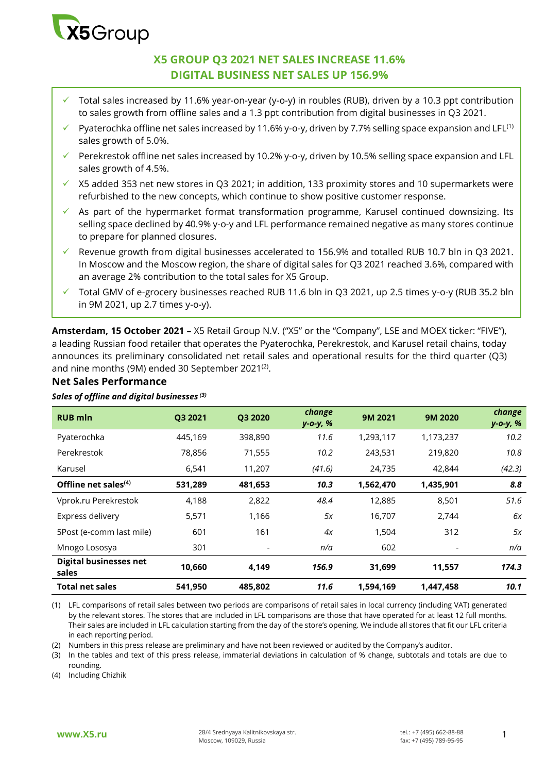

# **X5 GROUP Q3 2021 NET SALES INCREASE 11.6% DIGITAL BUSINESS NET SALES UP 156.9%**

- Total sales increased by 11.6% year-on-year (y-o-y) in roubles (RUB), driven by a 10.3 ppt contribution to sales growth from offline sales and a 1.3 ppt contribution from digital businesses in Q3 2021.
- Pyaterochka offline net sales increased by 11.6% y-o-y, driven by 7.7% selling space expansion and LFL<sup>(1)</sup> sales growth of 5.0%.
- Perekrestok offline net sales increased by 10.2% y-o-y, driven by 10.5% selling space expansion and LFL sales growth of 4.5%.
- $\times$  X5 added 353 net new stores in Q3 2021; in addition, 133 proximity stores and 10 supermarkets were refurbished to the new concepts, which continue to show positive customer response.
- $\checkmark$  As part of the hypermarket format transformation programme, Karusel continued downsizing. Its selling space declined by 40.9% y-o-y and LFL performance remained negative as many stores continue to prepare for planned closures.
- Revenue growth from digital businesses accelerated to 156.9% and totalled RUB 10.7 bln in Q3 2021. In Moscow and the Moscow region, the share of digital sales for Q3 2021 reached 3.6%, compared with an average 2% contribution to the total sales for X5 Group.
- Total GMV of e-grocery businesses reached RUB 11.6 bln in Q3 2021, up 2.5 times y-o-y (RUB 35.2 bln in 9M 2021, up 2.7 times y-o-y).

**Amsterdam, 15 October 2021 –** X5 Retail Group N.V. ("X5" or the "Company", LSE and MOEX ticker: "FIVE"), a leading Russian food retailer that operates the Pyaterochka, Perekrestok, and Karusel retail chains, today announces its preliminary consolidated net retail sales and operational results for the third quarter (Q3) and nine months (9M) ended 30 September 2021 $^{\text{\tiny{(2)}}}.$ 

# **Net Sales Performance**

### *Sales of offline and digital businesses (3)*

| <b>RUB</b> mln                         | Q3 2021 | Q3 2020 | change<br>у-о-у, % | 9M 2021   | 9M 2020   | change<br>у-о-у, % |
|----------------------------------------|---------|---------|--------------------|-----------|-----------|--------------------|
| Pyaterochka                            | 445,169 | 398,890 | 11.6               | 1,293,117 | 1,173,237 | 10.2               |
| Perekrestok                            | 78,856  | 71,555  | 10.2               | 243,531   | 219,820   | 10.8               |
| Karusel                                | 6,541   | 11,207  | (41.6)             | 24,735    | 42,844    | (42.3)             |
| Offline net sales $(4)$                | 531,289 | 481,653 | 10.3               | 1,562,470 | 1,435,901 | 8.8                |
| Vprok.ru Perekrestok                   | 4,188   | 2,822   | 48.4               | 12,885    | 8,501     | 51.6               |
| Express delivery                       | 5,571   | 1,166   | 5x                 | 16,707    | 2,744     | 6x                 |
| 5Post (e-comm last mile)               | 601     | 161     | 4x                 | 1,504     | 312       | 5x                 |
| Mnogo Lososya                          | 301     |         | n/a                | 602       |           | n/a                |
| <b>Digital businesses net</b><br>sales | 10,660  | 4,149   | 156.9              | 31,699    | 11,557    | 174.3              |
| <b>Total net sales</b>                 | 541,950 | 485,802 | 11.6               | 1,594,169 | 1,447,458 | 10.1               |

(1) LFL comparisons of retail sales between two periods are comparisons of retail sales in local currency (including VAT) generated by the relevant stores. The stores that are included in LFL comparisons are those that have operated for at least 12 full months. Their sales are included in LFL calculation starting from the day of the store's opening. We include all stores that fit our LFL criteria in each reporting period.

(2) Numbers in this press release are preliminary and have not been reviewed or audited by the Company's auditor.

(3) In the tables and text of this press release, immaterial deviations in calculation of % change, subtotals and totals are due to rounding.

(4) Including Chizhik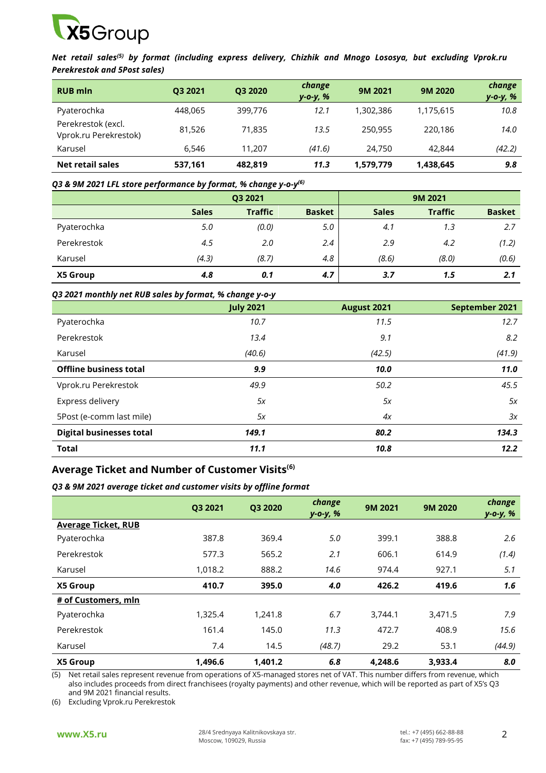

*Net retail sales(5) by format (including express delivery, Chizhik and Mnogo Lososya, but excluding Vprok.ru Perekrestok and 5Post sales)*

| <b>RUB mln</b>                              | Q3 2021 | Q3 2020 | change<br>y-o-y, % | 9M 2021   | 9M 2020   | change<br>y-o-y, % |
|---------------------------------------------|---------|---------|--------------------|-----------|-----------|--------------------|
| Pyaterochka                                 | 448,065 | 399,776 | 12.1               | 1,302,386 | 1,175,615 | 10.8               |
| Perekrestok (excl.<br>Vprok.ru Perekrestok) | 81.526  | 71.835  | 13.5               | 250.955   | 220.186   | 14.0               |
| Karusel                                     | 6.546   | 11.207  | (41.6)             | 24,750    | 42,844    | (42.2)             |
| Net retail sales                            | 537,161 | 482,819 | 11.3               | 1,579,779 | 1,438,645 | 9.8                |

#### *Q3 & 9M 2021 LFL store performance by format, % change y-o-y (6)*

|             | Q3 2021      |                |               |              |                |               |
|-------------|--------------|----------------|---------------|--------------|----------------|---------------|
|             | <b>Sales</b> | <b>Traffic</b> | <b>Basket</b> | <b>Sales</b> | <b>Traffic</b> | <b>Basket</b> |
| Pyaterochka | 5.0          | (0.0)          | 5.0           | 4.1          | 1.3            | 2.7           |
| Perekrestok | 4.5          | 2.0            | 2.4           | 2.9          | 4.2            | (1.2)         |
| Karusel     | (4.3)        | (8.7)          | 4.8           | (8.6)        | (8.0)          | (0.6)         |
| X5 Group    | 4.8          | 0.1            | 4.7           | 3.7          | 1.5            | 2.1           |

#### *Q3 2021 monthly net RUB sales by format, % change y-o-y*

|                                 | <b>July 2021</b> | <b>August 2021</b> | September 2021 |
|---------------------------------|------------------|--------------------|----------------|
| Pyaterochka                     | 10.7             | 11.5               | 12.7           |
| Perekrestok                     | 13.4             | 9.1                | 8.2            |
| Karusel                         | (40.6)           | (42.5)             | (41.9)         |
| <b>Offline business total</b>   | 9.9              | 10.0               | 11.0           |
| Vprok.ru Perekrestok            | 49.9             | 50.2               | 45.5           |
| Express delivery                | 5x               | 5x                 | 5x             |
| 5Post (e-comm last mile)        | 5x               | 4x                 | 3x             |
| <b>Digital businesses total</b> | 149.1            | 80.2               | 134.3          |
| <b>Total</b>                    | 11.1             | 10.8               | 12.2           |

# **Average Ticket and Number of Customer Visits(6)**

### *Q3 & 9M 2021 average ticket and customer visits by offline format*

|                            | Q3 2021 | Q3 2020 | change<br>$y - 0 - y, %$ | 9M 2021 | 9M 2020 | change<br>$y - 0 - y, %$ |
|----------------------------|---------|---------|--------------------------|---------|---------|--------------------------|
| <b>Average Ticket, RUB</b> |         |         |                          |         |         |                          |
| Pyaterochka                | 387.8   | 369.4   | 5.0                      | 399.1   | 388.8   | $2.6^{\circ}$            |
| Perekrestok                | 577.3   | 565.2   | 2.1                      | 606.1   | 614.9   | (1.4)                    |
| Karusel                    | 1,018.2 | 888.2   | 14.6                     | 974.4   | 927.1   | 5.1                      |
| X5 Group                   | 410.7   | 395.0   | 4.0                      | 426.2   | 419.6   | 1.6                      |
| # of Customers, mln        |         |         |                          |         |         |                          |
| Pyaterochka                | 1,325.4 | 1,241.8 | 6.7                      | 3,744.1 | 3,471.5 | 7.9                      |
| Perekrestok                | 161.4   | 145.0   | 11.3                     | 472.7   | 408.9   | 15.6                     |
| Karusel                    | 7.4     | 14.5    | (48.7)                   | 29.2    | 53.1    | (44.9)                   |
| X5 Group                   | 1.496.6 | 1.401.2 | 6.8                      | 4.248.6 | 3,933.4 | 8.0                      |

(5) Net retail sales represent revenue from operations of X5-managed stores net of VAT. This number differs from revenue, which also includes proceeds from direct franchisees (royalty payments) and other revenue, which will be reported as part of X5's Q3 and 9M 2021 financial results.

(6) Excluding Vprok.ru Perekrestok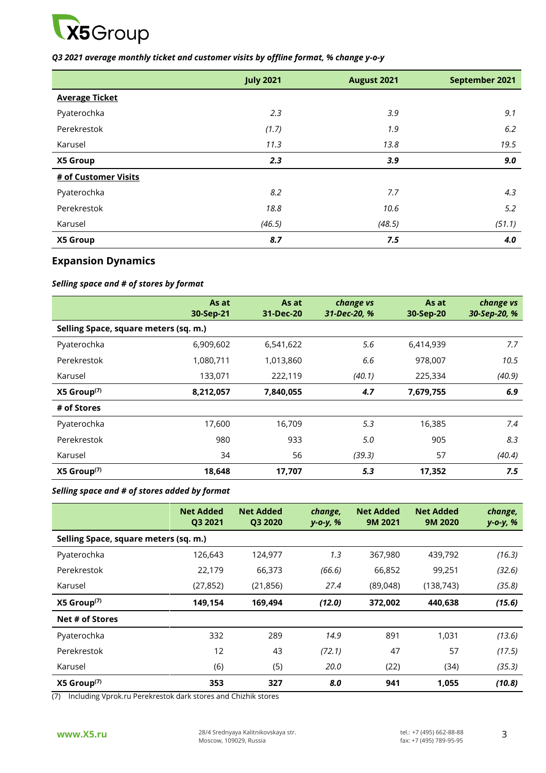

### *Q3 2021 average monthly ticket and customer visits by offline format, % change y-o-y*

|                       | <b>July 2021</b> | August 2021 | September 2021 |
|-----------------------|------------------|-------------|----------------|
| <b>Average Ticket</b> |                  |             |                |
| Pyaterochka           | 2.3              | 3.9         | 9.1            |
| Perekrestok           | (1.7)            | 1.9         | 6.2            |
| Karusel               | 11.3             | 13.8        | 19.5           |
| X5 Group              | 2.3              | 3.9         | 9.0            |
| # of Customer Visits  |                  |             |                |
| Pyaterochka           | 8.2              | 7.7         | 4.3            |
| Perekrestok           | 18.8             | 10.6        | 5.2            |
| Karusel               | (46.5)           | (48.5)      | (51.1)         |
| X5 Group              | 8.7              | 7.5         | 4.0            |

# **Expansion Dynamics**

## *Selling space and # of stores by format*

|                                       | As at<br>30-Sep-21 | As at<br>31-Dec-20 | change vs<br>31-Dec-20, % | As at<br>30-Sep-20 | change vs<br>30-Sep-20, % |
|---------------------------------------|--------------------|--------------------|---------------------------|--------------------|---------------------------|
| Selling Space, square meters (sq. m.) |                    |                    |                           |                    |                           |
| Pyaterochka                           | 6,909,602          | 6,541,622          | 5.6                       | 6,414,939          | 7.7                       |
| Perekrestok                           | 1,080,711          | 1,013,860          | 6.6                       | 978,007            | 10.5                      |
| Karusel                               | 133,071            | 222,119            | (40.1)                    | 225,334            | (40.9)                    |
| $X5$ Group <sup>(7)</sup>             | 8,212,057          | 7,840,055          | 4.7                       | 7,679,755          | 6.9                       |
| # of Stores                           |                    |                    |                           |                    |                           |
| Pyaterochka                           | 17,600             | 16,709             | 5.3                       | 16,385             | 7.4                       |
| Perekrestok                           | 980                | 933                | 5.0                       | 905                | 8.3                       |
| Karusel                               | 34                 | 56                 | (39.3)                    | 57                 | (40.4)                    |
| $X5$ Group <sup>(7)</sup>             | 18,648             | 17,707             | 5.3                       | 17,352             | 7.5                       |

### *Selling space and # of stores added by format*

|                                       | <b>Net Added</b><br>Q3 2021 | <b>Net Added</b><br>Q3 2020 | change,<br>$y - 0 - y, %$ | <b>Net Added</b><br>9M 2021 | <b>Net Added</b><br>9M 2020 | change,<br>$y - 0 - y, %$ |
|---------------------------------------|-----------------------------|-----------------------------|---------------------------|-----------------------------|-----------------------------|---------------------------|
| Selling Space, square meters (sq. m.) |                             |                             |                           |                             |                             |                           |
| Pyaterochka                           | 126,643                     | 124,977                     | 1.3                       | 367,980                     | 439,792                     | (16.3)                    |
| Perekrestok                           | 22,179                      | 66,373                      | (66.6)                    | 66,852                      | 99,251                      | (32.6)                    |
| Karusel                               | (27, 852)                   | (21, 856)                   | 27.4                      | (89,048)                    | (138, 743)                  | (35.8)                    |
| $X5$ Group <sup>(7)</sup>             | 149,154                     | 169,494                     | (12.0)                    | 372,002                     | 440,638                     | (15.6)                    |
| Net # of Stores                       |                             |                             |                           |                             |                             |                           |
| Pyaterochka                           | 332                         | 289                         | 14.9                      | 891                         | 1,031                       | (13.6)                    |
| Perekrestok                           | 12                          | 43                          | (72.1)                    | 47                          | 57                          | (17.5)                    |
| Karusel                               | (6)                         | (5)                         | 20.0                      | (22)                        | (34)                        | (35.3)                    |
| $X5$ Group <sup>(7)</sup>             | 353                         | 327                         | 8.0                       | 941                         | 1,055                       | (10.8)                    |

(7) Including Vprok.ru Perekrestok dark stores and Chizhik stores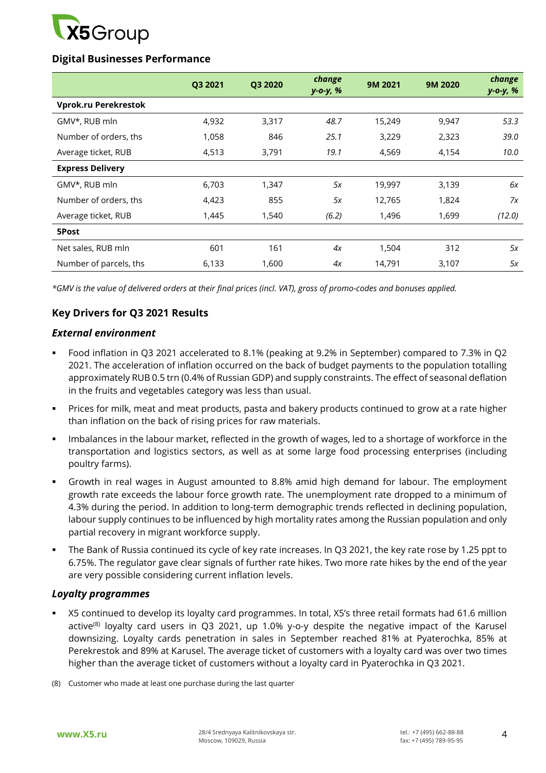

# **Digital Businesses Performance**

|                         | Q3 2021 | Q3 2020 | change<br>y-o-y, % | 9M 2021 | 9M 2020 | change<br>y-o-y, % |
|-------------------------|---------|---------|--------------------|---------|---------|--------------------|
| Vprok.ru Perekrestok    |         |         |                    |         |         |                    |
| GMV*, RUB mln           | 4,932   | 3,317   | 48.7               | 15,249  | 9,947   | 53.3               |
| Number of orders, ths   | 1,058   | 846     | 25.1               | 3,229   | 2,323   | 39.0               |
| Average ticket, RUB     | 4,513   | 3,791   | 19.1               | 4,569   | 4,154   | 10.0               |
| <b>Express Delivery</b> |         |         |                    |         |         |                    |
| GMV*, RUB mln           | 6,703   | 1,347   | 5x                 | 19,997  | 3,139   | 6х                 |
| Number of orders, ths   | 4,423   | 855     | 5x                 | 12,765  | 1,824   | 7x                 |
| Average ticket, RUB     | 1,445   | 1,540   | (6.2)              | 1,496   | 1,699   | (12.0)             |
| 5Post                   |         |         |                    |         |         |                    |
| Net sales, RUB mln      | 601     | 161     | 4x                 | 1,504   | 312     | 5х                 |
| Number of parcels, ths  | 6,133   | 1,600   | 4x                 | 14,791  | 3,107   | 5x                 |

*\*GMV is the value of delivered orders at their final prices (incl. VAT), gross of promo-codes and bonuses applied.*

# **Key Drivers for Q3 2021 Results**

## *External environment*

- Food inflation in Q3 2021 accelerated to 8.1% (peaking at 9.2% in September) compared to 7.3% in Q2 2021. The acceleration of inflation occurred on the back of budget payments to the population totalling approximately RUB 0.5 trn (0.4% of Russian GDP) and supply constraints. The effect of seasonal deflation in the fruits and vegetables category was less than usual.
- **Prices for milk, meat and meat products, pasta and bakery products continued to grow at a rate higher in the strate of the strate in the rate of the strate in the rate of the strate in the rate of the strate in the rate o** than inflation on the back of rising prices for raw materials.
- **IMP** Imbalances in the labour market, reflected in the growth of wages, led to a shortage of workforce in the transportation and logistics sectors, as well as at some large food processing enterprises (including poultry farms).
- Growth in real wages in August amounted to 8.8% amid high demand for labour. The employment growth rate exceeds the labour force growth rate. The unemployment rate dropped to a minimum of 4.3% during the period. In addition to long-term demographic trends reflected in declining population, labour supply continues to be influenced by high mortality rates among the Russian population and only partial recovery in migrant workforce supply.
- The Bank of Russia continued its cycle of key rate increases. In Q3 2021, the key rate rose by 1.25 ppt to 6.75%. The regulator gave clear signals of further rate hikes. Two more rate hikes by the end of the year are very possible considering current inflation levels.

# *Loyalty programmes*

- X5 continued to develop its loyalty card programmes. In total, X5's three retail formats had 61.6 million active $^{(8)}$  loyalty card users in Q3 2021, up 1.0% y-o-y despite the negative impact of the Karusel downsizing. Loyalty cards penetration in sales in September reached 81% at Pyaterochka, 85% at Perekrestok and 89% at Karusel. The average ticket of customers with a loyalty card was over two times higher than the average ticket of customers without a loyalty card in Pyaterochka in Q3 2021.
- (8) Customer who made at least one purchase during the last quarter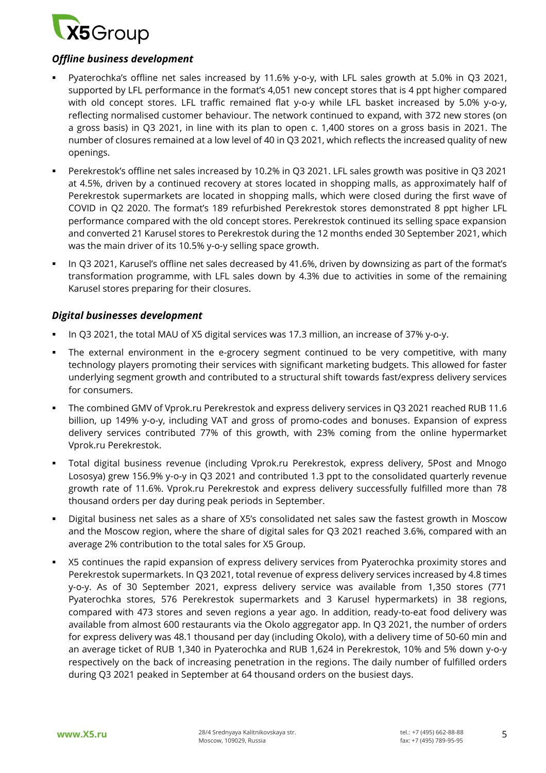

# *Offline business development*

- Pyaterochka's offline net sales increased by 11.6% y-o-y, with LFL sales growth at 5.0% in Q3 2021, supported by LFL performance in the format's 4,051 new concept stores that is 4 ppt higher compared with old concept stores. LFL traffic remained flat y-o-y while LFL basket increased by 5.0% y-o-y, reflecting normalised customer behaviour. The network continued to expand, with 372 new stores (on a gross basis) in Q3 2021, in line with its plan to open c. 1,400 stores on a gross basis in 2021. The number of closures remained at a low level of 40 in Q3 2021, which reflects the increased quality of new openings.
- Perekrestok's offline net sales increased by 10.2% in Q3 2021. LFL sales growth was positive in Q3 2021 at 4.5%, driven by a continued recovery at stores located in shopping malls, as approximately half of Perekrestok supermarkets are located in shopping malls, which were closed during the first wave of COVID in Q2 2020. The format's 189 refurbished Perekrestok stores demonstrated 8 ppt higher LFL performance compared with the old concept stores. Perekrestok continued its selling space expansion and converted 21 Karusel stores to Perekrestok during the 12 months ended 30 September 2021, which was the main driver of its 10.5% y-o-y selling space growth.
- In Q3 2021, Karusel's offline net sales decreased by 41.6%, driven by downsizing as part of the format's transformation programme, with LFL sales down by 4.3% due to activities in some of the remaining Karusel stores preparing for their closures.

## *Digital businesses development*

- In Q3 2021, the total MAU of X5 digital services was 17.3 million, an increase of 37% y-o-y.
- The external environment in the e-grocery segment continued to be very competitive, with many technology players promoting their services with significant marketing budgets. This allowed for faster underlying segment growth and contributed to a structural shift towards fast/express delivery services for consumers.
- The combined GMV of Vprok.ru Perekrestok and express delivery services in Q3 2021 reached RUB 11.6 billion, up 149% y-o-y, including VAT and gross of promo-codes and bonuses. Expansion of express delivery services contributed 77% of this growth, with 23% coming from the online hypermarket Vprok.ru Perekrestok.
- Total digital business revenue (including Vprok.ru Perekrestok, express delivery, 5Post and Mnogo Lososya) grew 156.9% y-o-y in Q3 2021 and contributed 1.3 ppt to the consolidated quarterly revenue growth rate of 11.6%. Vprok.ru Perekrestok and express delivery successfully fulfilled more than 78 thousand orders per day during peak periods in September.
- Digital business net sales as a share of X5's consolidated net sales saw the fastest growth in Moscow and the Moscow region, where the share of digital sales for Q3 2021 reached 3.6%, compared with an average 2% contribution to the total sales for X5 Group.
- X5 continues the rapid expansion of express delivery services from Pyaterochka proximity stores and Perekrestok supermarkets. In Q3 2021, total revenue of express delivery services increased by 4.8 times y-o-y. As of 30 September 2021, express delivery service was available from 1,350 stores (771 Pyaterochka stores, 576 Perekrestok supermarkets and 3 Karusel hypermarkets) in 38 regions, compared with 473 stores and seven regions a year ago. In addition, ready-to-eat food delivery was available from almost 600 restaurants via the Okolo aggregator app. In Q3 2021, the number of orders for express delivery was 48.1 thousand per day (including Okolo), with a delivery time of 50-60 min and an average ticket of RUB 1,340 in Pyaterochka and RUB 1,624 in Perekrestok, 10% and 5% down y-o-y respectively on the back of increasing penetration in the regions. The daily number of fulfilled orders during Q3 2021 peaked in September at 64 thousand orders on the busiest days.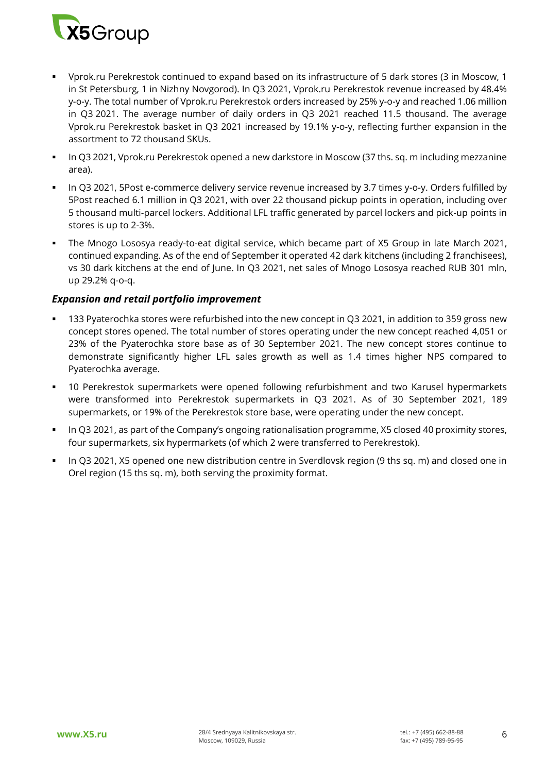

- Vprok.ru Perekrestok continued to expand based on its infrastructure of 5 dark stores (3 in Moscow, 1 in St Petersburg, 1 in Nizhny Novgorod). In Q3 2021, Vprok.ru Perekrestok revenue increased by 48.4% y-o-y. The total number of Vprok.ru Perekrestok orders increased by 25% y-o-y and reached 1.06 million in Q3 2021. The average number of daily orders in Q3 2021 reached 11.5 thousand. The average Vprok.ru Perekrestok basket in Q3 2021 increased by 19.1% y-o-y, reflecting further expansion in the assortment to 72 thousand SKUs.
- In Q3 2021, Vprok.ru Perekrestok opened a new darkstore in Moscow (37 ths. sq. m including mezzanine area).
- In Q3 2021, 5Post e-commerce delivery service revenue increased by 3.7 times y-o-y. Orders fulfilled by 5Post reached 6.1 million in Q3 2021, with over 22 thousand pickup points in operation, including over 5 thousand multi-parcel lockers. Additional LFL traffic generated by parcel lockers and pick-up points in stores is up to 2-3%.
- The Mnogo Lososya ready-to-eat digital service, which became part of X5 Group in late March 2021, continued expanding. As of the end of September it operated 42 dark kitchens (including 2 franchisees), vs 30 dark kitchens at the end of June. In Q3 2021, net sales of Mnogo Lososya reached RUB 301 mln, up 29.2% q-o-q.

# *Expansion and retail portfolio improvement*

- 133 Pyaterochka stores were refurbished into the new concept in Q3 2021, in addition to 359 gross new concept stores opened. The total number of stores operating under the new concept reached 4,051 or 23% of the Pyaterochka store base as of 30 September 2021. The new concept stores continue to demonstrate significantly higher LFL sales growth as well as 1.4 times higher NPS compared to Pyaterochka average.
- 10 Perekrestok supermarkets were opened following refurbishment and two Karusel hypermarkets were transformed into Perekrestok supermarkets in Q3 2021. As of 30 September 2021, 189 supermarkets, or 19% of the Perekrestok store base, were operating under the new concept.
- In Q3 2021, as part of the Company's ongoing rationalisation programme, X5 closed 40 proximity stores, four supermarkets, six hypermarkets (of which 2 were transferred to Perekrestok).
- In Q3 2021, X5 opened one new distribution centre in Sverdlovsk region (9 ths sq. m) and closed one in Orel region (15 ths sq. m), both serving the proximity format.